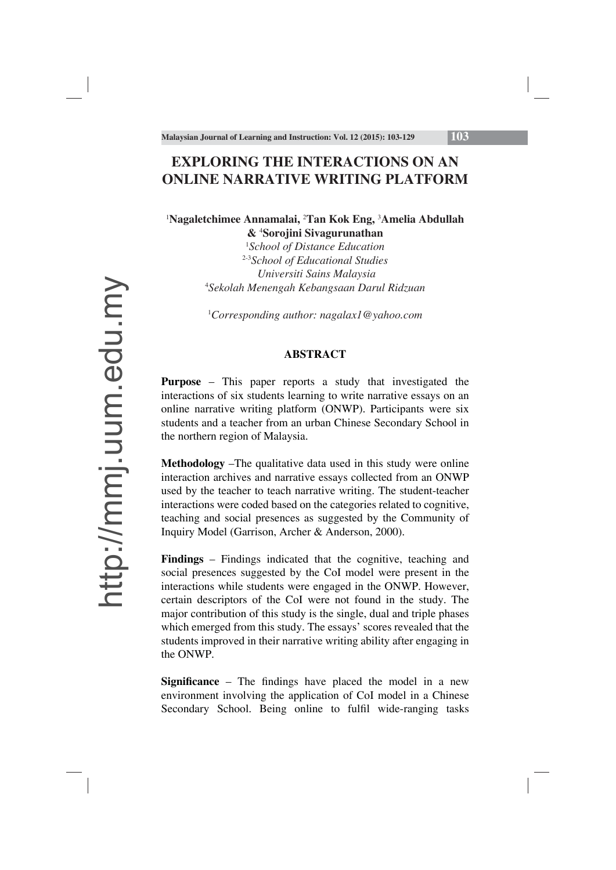# **EXPLORING THE INTERACTIONS ON AN ONLINE NARRATIVE WRITING PLATFORM**

### <sup>1</sup>Nagaletchimee Annamalai, <sup>2</sup>Tan Kok Eng, <sup>3</sup>Amelia Abdullah **&** <sup>4</sup> **Sorojini Sivagurunathan**

1 *School of Distance Education*  2-3*School of Educational Studies Universiti Sains Malaysia* 4 *Sekolah Menengah Kebangsaan Darul Ridzuan*

1 *Corresponding author: nagalax1@yahoo.com*

### **ABSTRACT**

**Purpose** – This paper reports a study that investigated the interactions of six students learning to write narrative essays on an online narrative writing platform (ONWP). Participants were six students and a teacher from an urban Chinese Secondary School in the northern region of Malaysia.

**Methodology** –The qualitative data used in this study were online interaction archives and narrative essays collected from an ONWP used by the teacher to teach narrative writing. The student-teacher interactions were coded based on the categories related to cognitive, teaching and social presences as suggested by the Community of Inquiry Model (Garrison, Archer & Anderson, 2000).

**Findings** – Findings indicated that the cognitive, teaching and social presences suggested by the CoI model were present in the interactions while students were engaged in the ONWP. However, certain descriptors of the CoI were not found in the study. The major contribution of this study is the single, dual and triple phases which emerged from this study. The essays' scores revealed that the students improved in their narrative writing ability after engaging in the ONWP.

**Significance** – The findings have placed the model in a new environment involving the application of CoI model in a Chinese Secondary School. Being online to fulfil wide-ranging tasks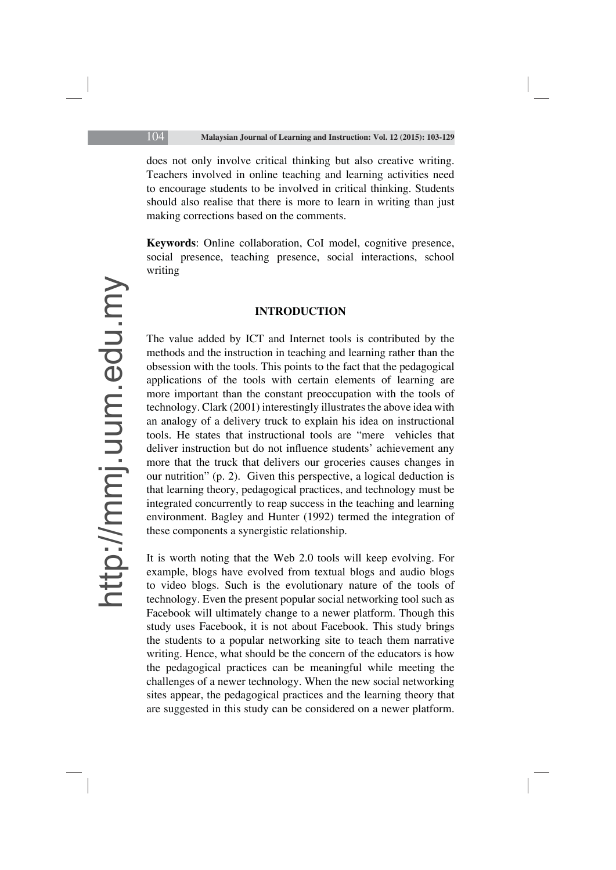does not only involve critical thinking but also creative writing. Teachers involved in online teaching and learning activities need to encourage students to be involved in critical thinking. Students should also realise that there is more to learn in writing than just making corrections based on the comments.

**Keywords**: Online collaboration, CoI model, cognitive presence, social presence, teaching presence, social interactions, school writing

#### **INTRODUCTION**

The value added by ICT and Internet tools is contributed by the methods and the instruction in teaching and learning rather than the obsession with the tools. This points to the fact that the pedagogical applications of the tools with certain elements of learning are more important than the constant preoccupation with the tools of technology. Clark (2001) interestingly illustrates the above idea with an analogy of a delivery truck to explain his idea on instructional tools. He states that instructional tools are "mere vehicles that deliver instruction but do not influence students' achievement any more that the truck that delivers our groceries causes changes in our nutrition" (p. 2). Given this perspective, a logical deduction is that learning theory, pedagogical practices, and technology must be integrated concurrently to reap success in the teaching and learning environment. Bagley and Hunter (1992) termed the integration of these components a synergistic relationship.

It is worth noting that the Web 2.0 tools will keep evolving. For example, blogs have evolved from textual blogs and audio blogs to video blogs. Such is the evolutionary nature of the tools of technology. Even the present popular social networking tool such as Facebook will ultimately change to a newer platform. Though this study uses Facebook, it is not about Facebook. This study brings the students to a popular networking site to teach them narrative writing. Hence, what should be the concern of the educators is how the pedagogical practices can be meaningful while meeting the challenges of a newer technology. When the new social networking sites appear, the pedagogical practices and the learning theory that are suggested in this study can be considered on a newer platform.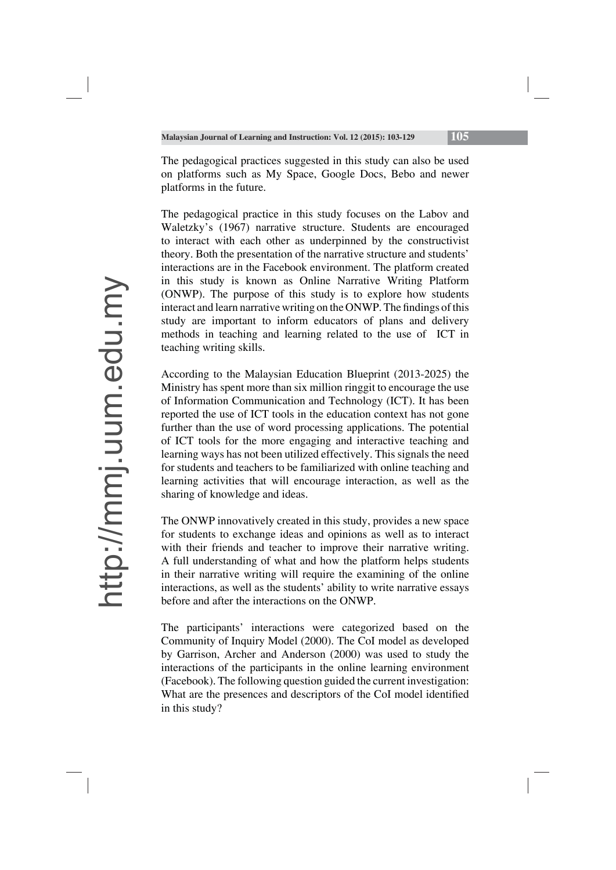The pedagogical practices suggested in this study can also be used on platforms such as My Space, Google Docs, Bebo and newer platforms in the future.

The pedagogical practice in this study focuses on the Labov and Waletzky's (1967) narrative structure. Students are encouraged to interact with each other as underpinned by the constructivist theory. Both the presentation of the narrative structure and students' interactions are in the Facebook environment. The platform created in this study is known as Online Narrative Writing Platform (ONWP). The purpose of this study is to explore how students interact and learn narrative writing on the ONWP. The findings of this study are important to inform educators of plans and delivery methods in teaching and learning related to the use of ICT in teaching writing skills.

According to the Malaysian Education Blueprint (2013-2025) the Ministry has spent more than six million ringgit to encourage the use of Information Communication and Technology (ICT). It has been reported the use of ICT tools in the education context has not gone further than the use of word processing applications. The potential of ICT tools for the more engaging and interactive teaching and learning ways has not been utilized effectively. This signals the need for students and teachers to be familiarized with online teaching and learning activities that will encourage interaction, as well as the sharing of knowledge and ideas.

The ONWP innovatively created in this study, provides a new space for students to exchange ideas and opinions as well as to interact with their friends and teacher to improve their narrative writing. A full understanding of what and how the platform helps students in their narrative writing will require the examining of the online interactions, as well as the students' ability to write narrative essays before and after the interactions on the ONWP.

The participants' interactions were categorized based on the Community of Inquiry Model (2000). The CoI model as developed by Garrison, Archer and Anderson (2000) was used to study the interactions of the participants in the online learning environment (Facebook). The following question guided the current investigation: What are the presences and descriptors of the CoI model identified in this study?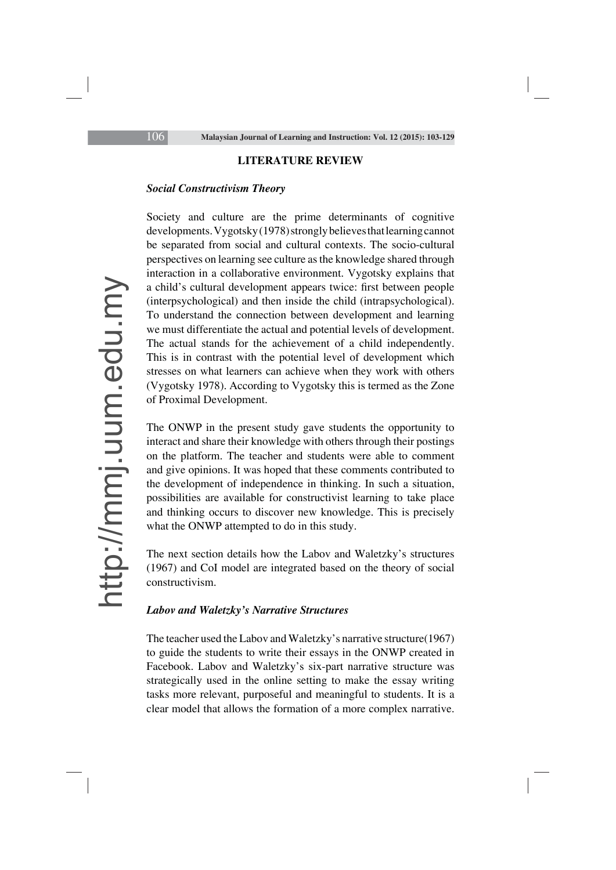#### **LITERATURE REVIEW**

### *Social Constructivism Theory*

Society and culture are the prime determinants of cognitive developments. Vygotsky (1978) strongly believes that learning cannot be separated from social and cultural contexts. The socio-cultural perspectives on learning see culture as the knowledge shared through interaction in a collaborative environment. Vygotsky explains that a child's cultural development appears twice: first between people (interpsychological) and then inside the child (intrapsychological). To understand the connection between development and learning we must differentiate the actual and potential levels of development. The actual stands for the achievement of a child independently. This is in contrast with the potential level of development which stresses on what learners can achieve when they work with others (Vygotsky 1978). According to Vygotsky this is termed as the Zone of Proximal Development.

The ONWP in the present study gave students the opportunity to interact and share their knowledge with others through their postings on the platform. The teacher and students were able to comment and give opinions. It was hoped that these comments contributed to the development of independence in thinking. In such a situation, possibilities are available for constructivist learning to take place and thinking occurs to discover new knowledge. This is precisely what the ONWP attempted to do in this study.

The next section details how the Labov and Waletzky's structures (1967) and CoI model are integrated based on the theory of social constructivism.

### *Labov and Waletzky's Narrative Structures*

The teacher used the Labov and Waletzky's narrative structure(1967) to guide the students to write their essays in the ONWP created in Facebook. Labov and Waletzky's six-part narrative structure was strategically used in the online setting to make the essay writing tasks more relevant, purposeful and meaningful to students. It is a clear model that allows the formation of a more complex narrative.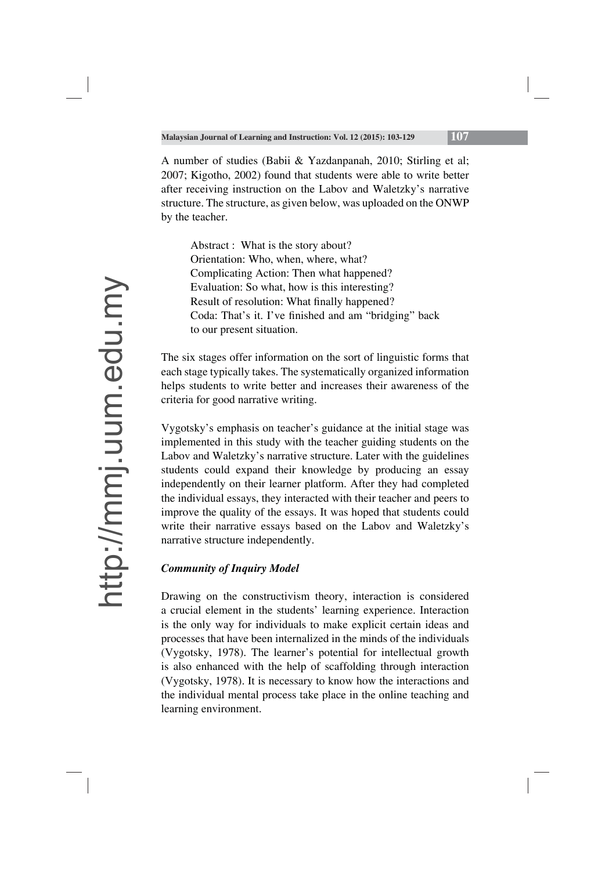A number of studies (Babii & Yazdanpanah, 2010; Stirling et al; 2007; Kigotho, 2002) found that students were able to write better after receiving instruction on the Labov and Waletzky's narrative structure. The structure, as given below, was uploaded on the ONWP by the teacher.

Abstract : What is the story about? Orientation: Who, when, where, what? Complicating Action: Then what happened? Evaluation: So what, how is this interesting? Result of resolution: What finally happened? Coda: That's it. I've finished and am "bridging" back to our present situation.

The six stages offer information on the sort of linguistic forms that each stage typically takes. The systematically organized information helps students to write better and increases their awareness of the criteria for good narrative writing.

Vygotsky's emphasis on teacher's guidance at the initial stage was implemented in this study with the teacher guiding students on the Labov and Waletzky's narrative structure. Later with the guidelines students could expand their knowledge by producing an essay independently on their learner platform. After they had completed the individual essays, they interacted with their teacher and peers to improve the quality of the essays. It was hoped that students could write their narrative essays based on the Labov and Waletzky's narrative structure independently.

## *Community of Inquiry Model*

Drawing on the constructivism theory, interaction is considered a crucial element in the students' learning experience. Interaction is the only way for individuals to make explicit certain ideas and processes that have been internalized in the minds of the individuals (Vygotsky, 1978). The learner's potential for intellectual growth is also enhanced with the help of scaffolding through interaction (Vygotsky, 1978). It is necessary to know how the interactions and the individual mental process take place in the online teaching and learning environment.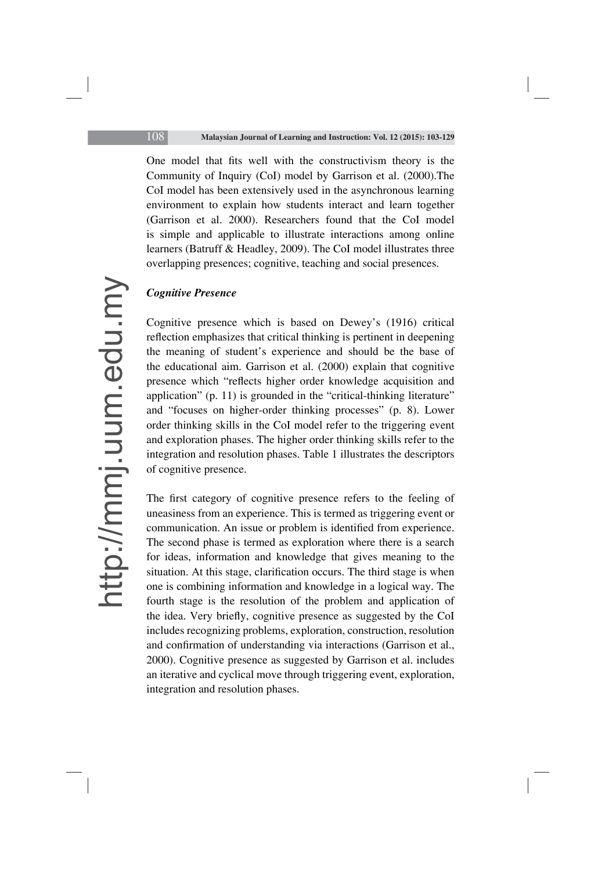One model that fits well with the constructivism theory is the Community of Inquiry (CoI) model by Garrison et al. (2000).The CoI model has been extensively used in the asynchronous learning environment to explain how students interact and learn together (Garrison et al. 2000). Researchers found that the CoI model is simple and applicable to illustrate interactions among online learners (Batruff & Headley, 2009). The CoI model illustrates three overlapping presences; cognitive, teaching and social presences.

### *Cognitive Presence*

Cognitive presence which is based on Dewey's (1916) critical reflection emphasizes that critical thinking is pertinent in deepening the meaning of student's experience and should be the base of the educational aim. Garrison et al. (2000) explain that cognitive presence which "reflects higher order knowledge acquisition and application" (p. 11) is grounded in the "critical-thinking literature" and "focuses on higher-order thinking processes" (p. 8). Lower order thinking skills in the CoI model refer to the triggering event and exploration phases. The higher order thinking skills refer to the integration and resolution phases. Table 1 illustrates the descriptors of cognitive presence.

The first category of cognitive presence refers to the feeling of uneasiness from an experience. This is termed as triggering event or communication. An issue or problem is identified from experience. The second phase is termed as exploration where there is a search for ideas, information and knowledge that gives meaning to the situation. At this stage, clarification occurs. The third stage is when one is combining information and knowledge in a logical way. The fourth stage is the resolution of the problem and application of the idea. Very briefly, cognitive presence as suggested by the CoI includes recognizing problems, exploration, construction, resolution and confirmation of understanding via interactions (Garrison et al., 2000). Cognitive presence as suggested by Garrison et al. includes an iterative and cyclical move through triggering event, exploration, integration and resolution phases.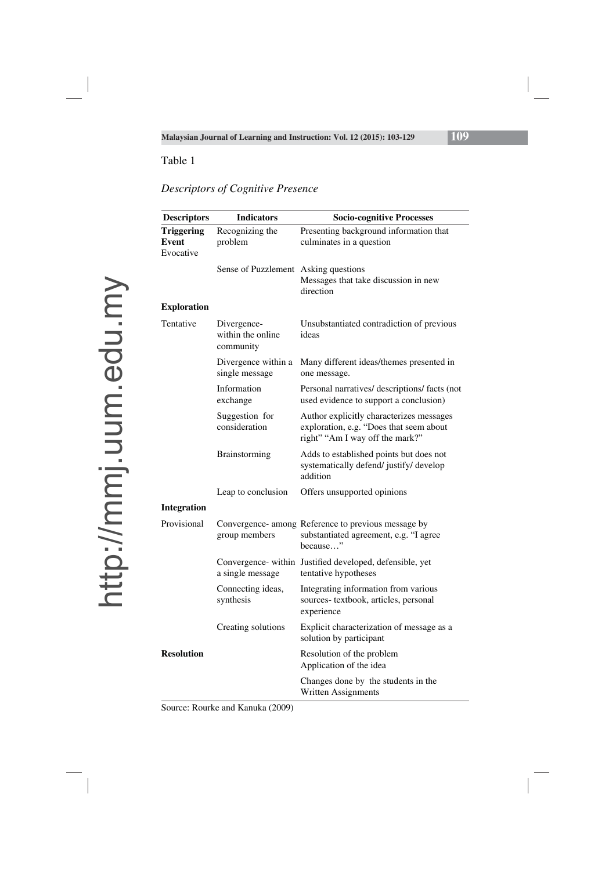## *Descriptors of Cognitive Presence*

| <b>Descriptors</b>                      | <b>Indicators</b>                             | <b>Socio-cognitive Processes</b>                                                                                       |
|-----------------------------------------|-----------------------------------------------|------------------------------------------------------------------------------------------------------------------------|
| <b>Triggering</b><br>Event<br>Evocative | Recognizing the<br>problem                    | Presenting background information that<br>culminates in a question                                                     |
|                                         | Sense of Puzzlement Asking questions          | Messages that take discussion in new<br>direction                                                                      |
| <b>Exploration</b>                      |                                               |                                                                                                                        |
| Tentative                               | Divergence-<br>within the online<br>community | Unsubstantiated contradiction of previous<br>ideas                                                                     |
|                                         | Divergence within a<br>single message         | Many different ideas/themes presented in<br>one message.                                                               |
|                                         | Information<br>exchange                       | Personal narratives/ descriptions/ facts (not<br>used evidence to support a conclusion)                                |
|                                         | Suggestion for<br>consideration               | Author explicitly characterizes messages<br>exploration, e.g. "Does that seem about<br>right" "Am I way off the mark?" |
|                                         | Brainstorming                                 | Adds to established points but does not<br>systematically defend/ justify/ develop<br>addition                         |
|                                         | Leap to conclusion                            | Offers unsupported opinions                                                                                            |
| <b>Integration</b>                      |                                               |                                                                                                                        |
| Provisional                             | group members                                 | Convergence- among Reference to previous message by<br>substantiated agreement, e.g. "I agree<br>because"              |
|                                         | a single message                              | Convergence- within Justified developed, defensible, yet<br>tentative hypotheses                                       |
|                                         | Connecting ideas,<br>synthesis                | Integrating information from various<br>sources-textbook, articles, personal<br>experience                             |
|                                         | Creating solutions                            | Explicit characterization of message as a<br>solution by participant                                                   |
| <b>Resolution</b>                       |                                               | Resolution of the problem<br>Application of the idea                                                                   |
|                                         |                                               | Changes done by the students in the<br>Written Assignments                                                             |

Source: Rourke and Kanuka (2009)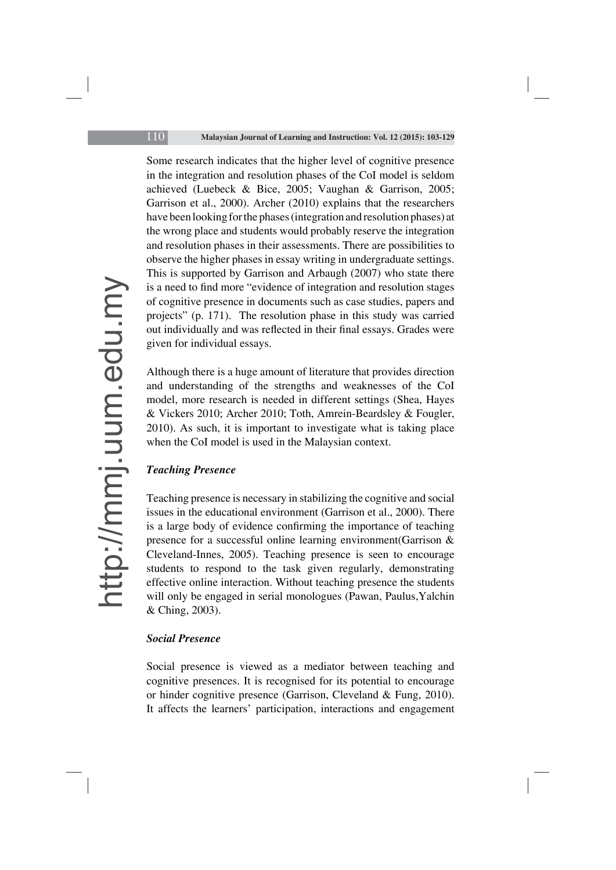Some research indicates that the higher level of cognitive presence in the integration and resolution phases of the CoI model is seldom achieved (Luebeck & Bice, 2005; Vaughan & Garrison, 2005; Garrison et al., 2000). Archer (2010) explains that the researchers have been looking for the phases (integration and resolution phases) at the wrong place and students would probably reserve the integration and resolution phases in their assessments. There are possibilities to observe the higher phases in essay writing in undergraduate settings. This is supported by Garrison and Arbaugh (2007) who state there is a need to find more "evidence of integration and resolution stages of cognitive presence in documents such as case studies, papers and projects" (p. 171). The resolution phase in this study was carried out individually and was reflected in their final essays. Grades were given for individual essays.

Although there is a huge amount of literature that provides direction and understanding of the strengths and weaknesses of the CoI model, more research is needed in different settings (Shea, Hayes & Vickers 2010; Archer 2010; Toth, Amrein-Beardsley & Fougler, 2010). As such, it is important to investigate what is taking place when the CoI model is used in the Malaysian context.

### *Teaching Presence*

Teaching presence is necessary in stabilizing the cognitive and social issues in the educational environment (Garrison et al., 2000). There is a large body of evidence confirming the importance of teaching presence for a successful online learning environment(Garrison & Cleveland-Innes, 2005). Teaching presence is seen to encourage students to respond to the task given regularly, demonstrating effective online interaction. Without teaching presence the students will only be engaged in serial monologues (Pawan, Paulus,Yalchin & Ching, 2003).

### *Social Presence*

Social presence is viewed as a mediator between teaching and cognitive presences. It is recognised for its potential to encourage or hinder cognitive presence (Garrison, Cleveland & Fung, 2010). It affects the learners' participation, interactions and engagement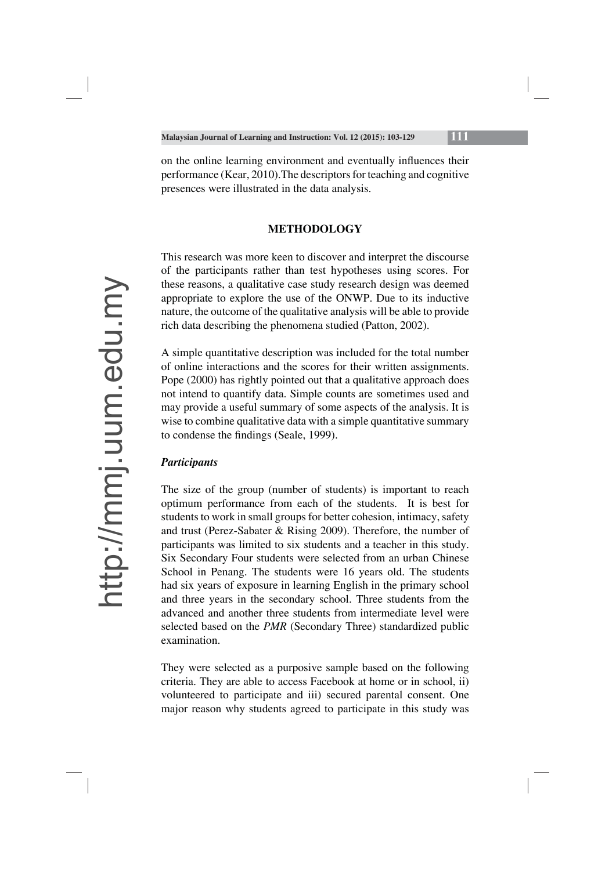on the online learning environment and eventually influences their performance (Kear, 2010).The descriptors for teaching and cognitive presences were illustrated in the data analysis.

## **METHODOLOGY**

This research was more keen to discover and interpret the discourse of the participants rather than test hypotheses using scores. For these reasons, a qualitative case study research design was deemed appropriate to explore the use of the ONWP. Due to its inductive nature, the outcome of the qualitative analysis will be able to provide rich data describing the phenomena studied (Patton, 2002).

A simple quantitative description was included for the total number of online interactions and the scores for their written assignments. Pope (2000) has rightly pointed out that a qualitative approach does not intend to quantify data. Simple counts are sometimes used and may provide a useful summary of some aspects of the analysis. It is wise to combine qualitative data with a simple quantitative summary to condense the findings (Seale, 1999).

## *Participants*

The size of the group (number of students) is important to reach optimum performance from each of the students. It is best for students to work in small groups for better cohesion, intimacy, safety and trust (Perez-Sabater & Rising 2009). Therefore, the number of participants was limited to six students and a teacher in this study. Six Secondary Four students were selected from an urban Chinese School in Penang. The students were 16 years old. The students had six years of exposure in learning English in the primary school and three years in the secondary school. Three students from the advanced and another three students from intermediate level were selected based on the *PMR* (Secondary Three) standardized public examination.

They were selected as a purposive sample based on the following criteria. They are able to access Facebook at home or in school, ii) volunteered to participate and iii) secured parental consent. One major reason why students agreed to participate in this study was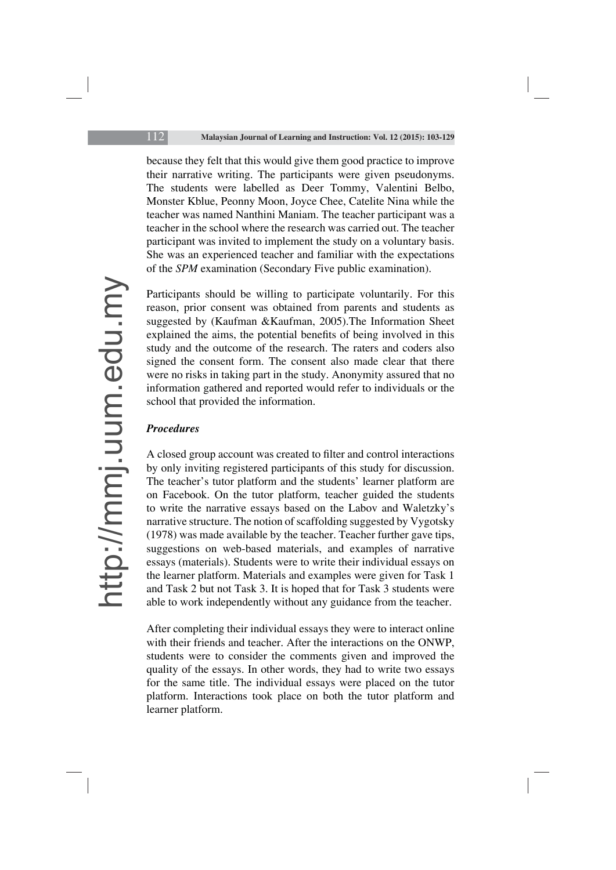because they felt that this would give them good practice to improve their narrative writing. The participants were given pseudonyms. The students were labelled as Deer Tommy, Valentini Belbo, Monster Kblue, Peonny Moon, Joyce Chee, Catelite Nina while the teacher was named Nanthini Maniam. The teacher participant was a teacher in the school where the research was carried out. The teacher participant was invited to implement the study on a voluntary basis. She was an experienced teacher and familiar with the expectations of the *SPM* examination (Secondary Five public examination).

Participants should be willing to participate voluntarily. For this reason, prior consent was obtained from parents and students as suggested by (Kaufman &Kaufman, 2005).The Information Sheet explained the aims, the potential benefits of being involved in this study and the outcome of the research. The raters and coders also signed the consent form. The consent also made clear that there were no risks in taking part in the study. Anonymity assured that no information gathered and reported would refer to individuals or the school that provided the information.

### *Procedures*

A closed group account was created to filter and control interactions by only inviting registered participants of this study for discussion. The teacher's tutor platform and the students' learner platform are on Facebook. On the tutor platform, teacher guided the students to write the narrative essays based on the Labov and Waletzky's narrative structure. The notion of scaffolding suggested by Vygotsky (1978) was made available by the teacher. Teacher further gave tips, suggestions on web-based materials, and examples of narrative essays (materials). Students were to write their individual essays on the learner platform. Materials and examples were given for Task 1 and Task 2 but not Task 3. It is hoped that for Task 3 students were able to work independently without any guidance from the teacher.

After completing their individual essays they were to interact online with their friends and teacher. After the interactions on the ONWP, students were to consider the comments given and improved the quality of the essays. In other words, they had to write two essays for the same title. The individual essays were placed on the tutor platform. Interactions took place on both the tutor platform and learner platform.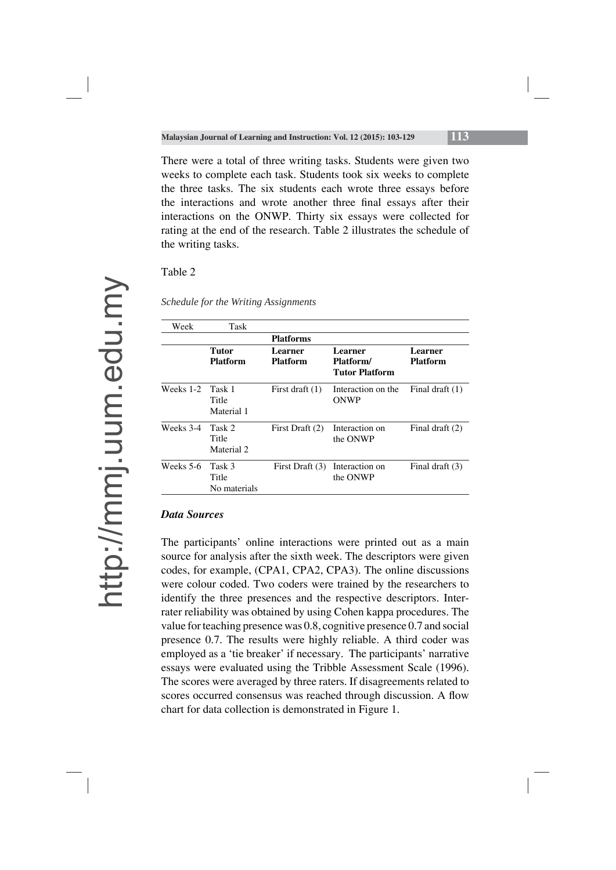There were a total of three writing tasks. Students were given two weeks to complete each task. Students took six weeks to complete the three tasks. The six students each wrote three essays before the interactions and wrote another three final essays after their interactions on the ONWP. Thirty six essays were collected for rating at the end of the research. Table 2 illustrates the schedule of the writing tasks.

Table 2

| Week      | Task                            |                            |                                               |                            |
|-----------|---------------------------------|----------------------------|-----------------------------------------------|----------------------------|
|           |                                 | <b>Platforms</b>           |                                               |                            |
|           | Tutor<br><b>Platform</b>        | Learner<br><b>Platform</b> | Learner<br>Platform/<br><b>Tutor Platform</b> | Learner<br><b>Platform</b> |
| Weeks 1-2 | Task 1<br>Title<br>Material 1   | First draft $(1)$          | Interaction on the<br>ONWP                    | Final draft $(1)$          |
| Weeks 3-4 | Task 2<br>Title<br>Material 2   | First Draft (2)            | Interaction on<br>the ONWP                    | Final draft $(2)$          |
| Weeks 5-6 | Task 3<br>Title<br>No materials | First Draft (3)            | Interaction on<br>the ONWP                    | Final draft (3)            |

*Schedule for the Writing Assignments* 

### *Data Sources*

The participants' online interactions were printed out as a main source for analysis after the sixth week. The descriptors were given codes, for example, (CPA1, CPA2, CPA3). The online discussions were colour coded. Two coders were trained by the researchers to identify the three presences and the respective descriptors. Interrater reliability was obtained by using Cohen kappa procedures. The value for teaching presence was 0.8, cognitive presence 0.7 and social presence 0.7. The results were highly reliable. A third coder was employed as a 'tie breaker' if necessary. The participants' narrative essays were evaluated using the Tribble Assessment Scale (1996). The scores were averaged by three raters. If disagreements related to scores occurred consensus was reached through discussion. A flow chart for data collection is demonstrated in Figure 1.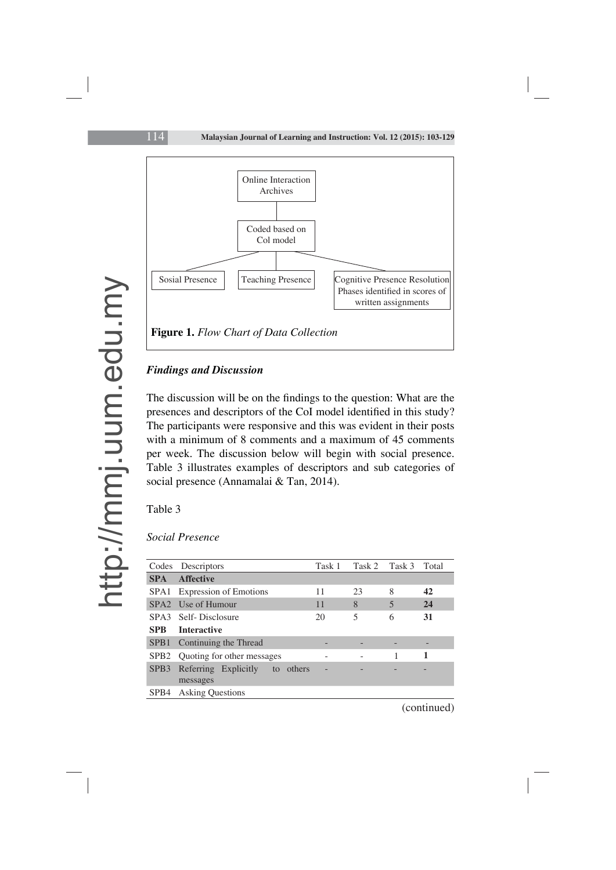

### *Findings and Discussion*

The discussion will be on the findings to the question: What are the presences and descriptors of the CoI model identified in this study? The participants were responsive and this was evident in their posts with a minimum of 8 comments and a maximum of 45 comments per week. The discussion below will begin with social presence. Table 3 illustrates examples of descriptors and sub categories of social presence (Annamalai & Tan, 2014).

Table 3

### *Social Presence*

| Codes            | Descriptors                            |        | Task 1 | Task 2 | Task 3 | Total |
|------------------|----------------------------------------|--------|--------|--------|--------|-------|
| <b>SPA</b>       | <b>Affective</b>                       |        |        |        |        |       |
|                  | SPA1 Expression of Emotions            |        | 11     | 23     | 8      | 42    |
|                  | SPA2 Use of Humour                     |        | 11     | 8      | 5      | 24    |
|                  | SPA3 Self-Disclosure                   |        | 20     | 5      | 6      | 31    |
| <b>SPR</b>       | <b>Interactive</b>                     |        |        |        |        |       |
| SPB <sub>1</sub> | Continuing the Thread                  |        |        |        |        |       |
|                  | SPB2 Quoting for other messages        |        |        |        |        |       |
| SPB <sub>3</sub> | Referring Explicitly<br>to<br>messages | others |        |        |        |       |
| SPB4             | <b>Asking Questions</b>                |        |        |        |        |       |

(continued)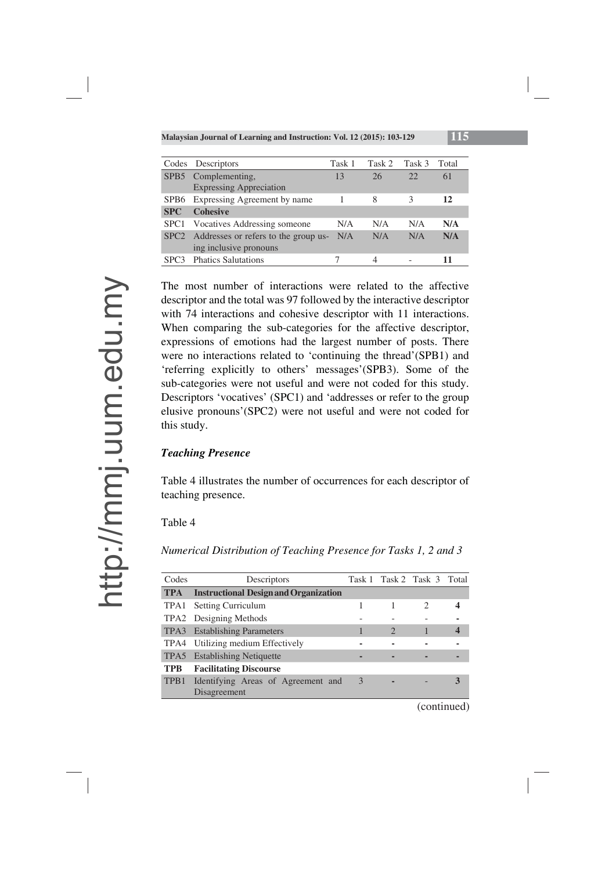| Codes            | Descriptors                               | Task 1 | Task 2 | Task 3 | Total |
|------------------|-------------------------------------------|--------|--------|--------|-------|
| SPB <sub>5</sub> | Complementing,                            | 13     | 26     | 22     | 61    |
|                  | <b>Expressing Appreciation</b>            |        |        |        |       |
|                  | SPB6 Expressing Agreement by name         |        | 8      | 3      | 12    |
| <b>SPC</b>       | <b>Cohesive</b>                           |        |        |        |       |
| SPC <sub>1</sub> | <b>Vocatives Addressing someone</b>       | N/A    | N/A    | N/A    | N/A   |
|                  | SPC2 Addresses or refers to the group us- | N/A    | N/A    | N/A    | N/A   |
|                  | ing inclusive pronouns                    |        |        |        |       |
| SPC3             | <b>Phatics Salutations</b>                |        |        |        | 11    |

The most number of interactions were related to the affective descriptor and the total was 97 followed by the interactive descriptor with 74 interactions and cohesive descriptor with 11 interactions. When comparing the sub-categories for the affective descriptor, expressions of emotions had the largest number of posts. There were no interactions related to 'continuing the thread'(SPB1) and 'referring explicitly to others' messages'(SPB3). Some of the sub-categories were not useful and were not coded for this study. Descriptors 'vocatives' (SPC1) and 'addresses or refer to the group elusive pronouns'(SPC2) were not useful and were not coded for this study.

### *Teaching Presence*

Table 4 illustrates the number of occurrences for each descriptor of teaching presence.

### Table 4

*Numerical Distribution of Teaching Presence for Tasks 1, 2 and 3*

| Codes      | Descriptors                                  |               |   | Task 1 Task 2 Task 3 Total |   |
|------------|----------------------------------------------|---------------|---|----------------------------|---|
| <b>TPA</b> | <b>Instructional Design and Organization</b> |               |   |                            |   |
|            | TPA1 Setting Curriculum                      |               |   | 2                          |   |
|            | TPA2 Designing Methods                       |               |   |                            |   |
|            | TPA3 Establishing Parameters                 |               | 2 |                            | 4 |
|            | TPA4 Utilizing medium Effectively            |               |   |                            |   |
|            | TPA5 Establishing Netiquette                 |               |   |                            |   |
| <b>TPB</b> | <b>Facilitating Discourse</b>                |               |   |                            |   |
| TPB1       | Identifying Areas of Agreement and           | $\mathcal{E}$ |   |                            | 3 |
|            | Disagreement                                 |               |   |                            |   |

(continued)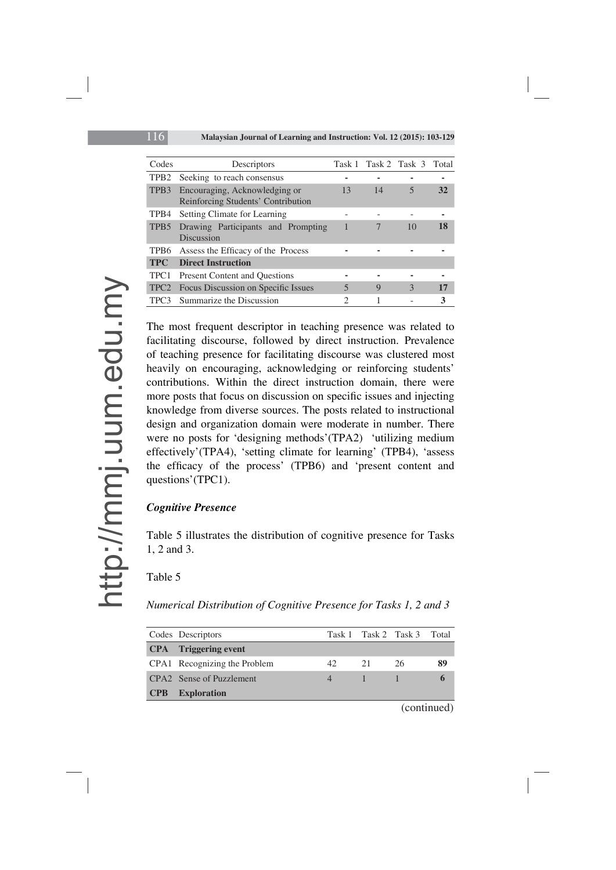| Codes            | Descriptors                                                         |                               | Task 1 Task 2 Task 3 |    | Total |
|------------------|---------------------------------------------------------------------|-------------------------------|----------------------|----|-------|
| TPB <sub>2</sub> | Seeking to reach consensus                                          |                               |                      |    |       |
| TPB3             | Encouraging, Acknowledging or<br>Reinforcing Students' Contribution | 13                            | 14                   | 5  | 32    |
| TPB4             | Setting Climate for Learning                                        |                               |                      |    |       |
| TPB <sub>5</sub> | Drawing Participants and Prompting<br><b>Discussion</b>             |                               |                      | 10 | 18    |
| TPB6             | Assess the Efficacy of the Process                                  |                               |                      |    |       |
| <b>TPC</b>       | <b>Direct Instruction</b>                                           |                               |                      |    |       |
| TPC <sub>1</sub> | <b>Present Content and Ouestions</b>                                |                               |                      |    |       |
| TPC <sub>2</sub> | <b>Focus Discussion on Specific Issues</b>                          | 5                             | 9                    | 3  | 17    |
| TPC <sub>3</sub> | Summarize the Discussion                                            | $\mathfrak{D}_{\mathfrak{p}}$ |                      |    | 3     |

The most frequent descriptor in teaching presence was related to facilitating discourse, followed by direct instruction. Prevalence of teaching presence for facilitating discourse was clustered most heavily on encouraging, acknowledging or reinforcing students' contributions. Within the direct instruction domain, there were more posts that focus on discussion on specific issues and injecting knowledge from diverse sources. The posts related to instructional design and organization domain were moderate in number. There were no posts for 'designing methods'(TPA2) 'utilizing medium effectively'(TPA4), 'setting climate for learning' (TPB4), 'assess the efficacy of the process' (TPB6) and 'present content and questions'(TPC1).

### *Cognitive Presence*

Table 5 illustrates the distribution of cognitive presence for Tasks 1, 2 and 3.

Table 5

*Numerical Distribution of Cognitive Presence for Tasks 1, 2 and 3* 

|            | Codes Descriptors            |    |     | Task 1 Task 2 Task 3 Total |           |
|------------|------------------------------|----|-----|----------------------------|-----------|
|            | <b>CPA</b> Triggering event  |    |     |                            |           |
|            | CPA1 Recognizing the Problem | 42 | 21  | 26                         | 89        |
|            | CPA2 Sense of Puzzlement     |    | -18 |                            |           |
| <b>CPB</b> | <b>Exploration</b>           |    |     |                            |           |
|            |                              |    |     |                            | $(1 - 1)$ |

(continued)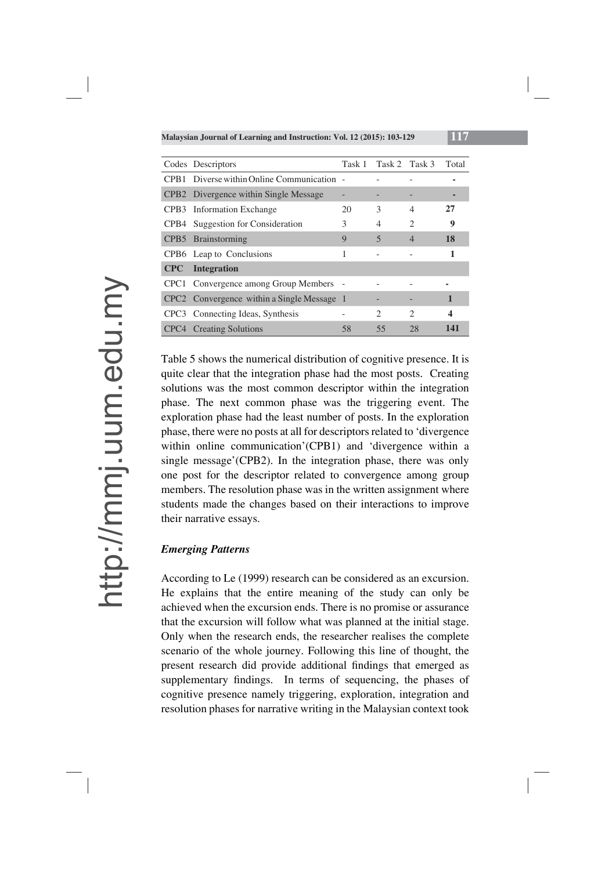|     | Codes Descriptors                          | Task 1 |    | Task 2 Task 3               | Total            |
|-----|--------------------------------------------|--------|----|-----------------------------|------------------|
|     | CPB1 Diverse within Online Communication - |        |    |                             |                  |
|     | CPB2 Divergence within Single Message      | -      |    | -                           |                  |
|     | CPB3 Information Exchange                  | 20     | 3  | 4                           | 27               |
|     | CPB4 Suggestion for Consideration          | 3      | 4  | $\mathfrak{D}$              | 9                |
|     | CPB5 Brainstorming                         | 9      | 5  | $\overline{4}$              | 18               |
|     | CPB6 Leap to Conclusions                   | 1      |    |                             | 1                |
| CPC | <b>Integration</b>                         |        |    |                             |                  |
|     | CPC1 Convergence among Group Members -     |        |    |                             |                  |
|     | CPC2 Convergence within a Single Message 1 |        |    |                             | 1                |
|     | CPC3 Connecting Ideas, Synthesis           |        | 2  | $\mathcal{D}_{\mathcal{L}}$ | $\boldsymbol{4}$ |
|     | CPC4 Creating Solutions                    | 58     | 55 | 28                          | 141              |

Table 5 shows the numerical distribution of cognitive presence. It is quite clear that the integration phase had the most posts. Creating solutions was the most common descriptor within the integration phase. The next common phase was the triggering event. The exploration phase had the least number of posts. In the exploration phase, there were no posts at all for descriptors related to 'divergence within online communication'(CPB1) and 'divergence within a single message'(CPB2). In the integration phase, there was only one post for the descriptor related to convergence among group members. The resolution phase was in the written assignment where students made the changes based on their interactions to improve their narrative essays.

### *Emerging Patterns*

According to Le (1999) research can be considered as an excursion. He explains that the entire meaning of the study can only be achieved when the excursion ends. There is no promise or assurance that the excursion will follow what was planned at the initial stage. Only when the research ends, the researcher realises the complete scenario of the whole journey. Following this line of thought, the present research did provide additional findings that emerged as supplementary findings. In terms of sequencing, the phases of cognitive presence namely triggering, exploration, integration and resolution phases for narrative writing in the Malaysian context took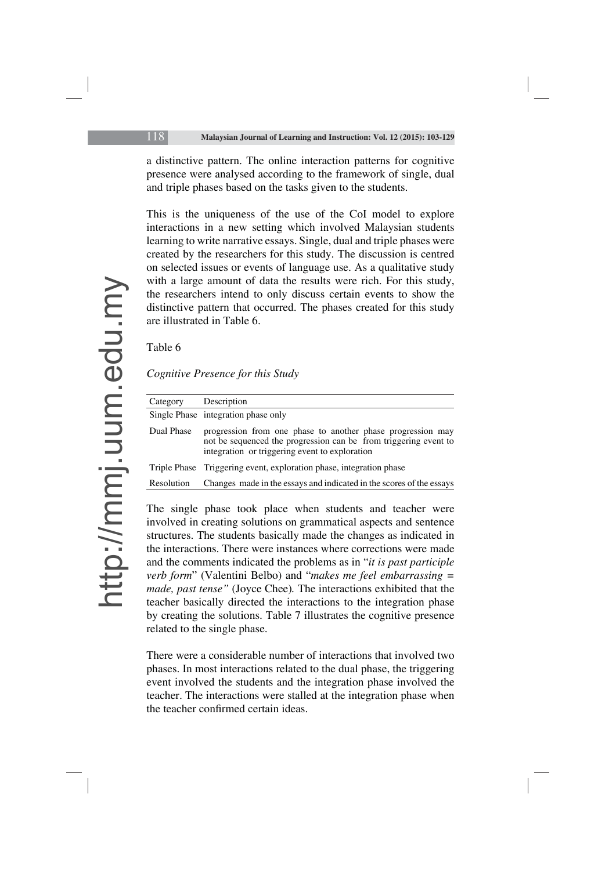a distinctive pattern. The online interaction patterns for cognitive presence were analysed according to the framework of single, dual and triple phases based on the tasks given to the students.

This is the uniqueness of the use of the CoI model to explore interactions in a new setting which involved Malaysian students learning to write narrative essays. Single, dual and triple phases were created by the researchers for this study. The discussion is centred on selected issues or events of language use. As a qualitative study with a large amount of data the results were rich. For this study, the researchers intend to only discuss certain events to show the distinctive pattern that occurred. The phases created for this study are illustrated in Table 6.

#### Table 6

|  | Cognitive Presence for this Study |  |  |  |  |
|--|-----------------------------------|--|--|--|--|
|--|-----------------------------------|--|--|--|--|

| Category   | Description                                                                                                                                                                       |
|------------|-----------------------------------------------------------------------------------------------------------------------------------------------------------------------------------|
|            | Single Phase integration phase only                                                                                                                                               |
| Dual Phase | progression from one phase to another phase progression may<br>not be sequenced the progression can be from triggering event to<br>integration or triggering event to exploration |
|            | Triple Phase Triggering event, exploration phase, integration phase                                                                                                               |
| Resolution | Changes made in the essays and indicated in the scores of the essays                                                                                                              |

The single phase took place when students and teacher were involved in creating solutions on grammatical aspects and sentence structures. The students basically made the changes as indicated in the interactions. There were instances where corrections were made and the comments indicated the problems as in "*it is past participle verb form*" (Valentini Belbo) and "*makes me feel embarrassing = made, past tense"* (Joyce Chee)*.* The interactions exhibited that the teacher basically directed the interactions to the integration phase by creating the solutions. Table 7 illustrates the cognitive presence related to the single phase.

There were a considerable number of interactions that involved two phases. In most interactions related to the dual phase, the triggering event involved the students and the integration phase involved the teacher. The interactions were stalled at the integration phase when the teacher confirmed certain ideas.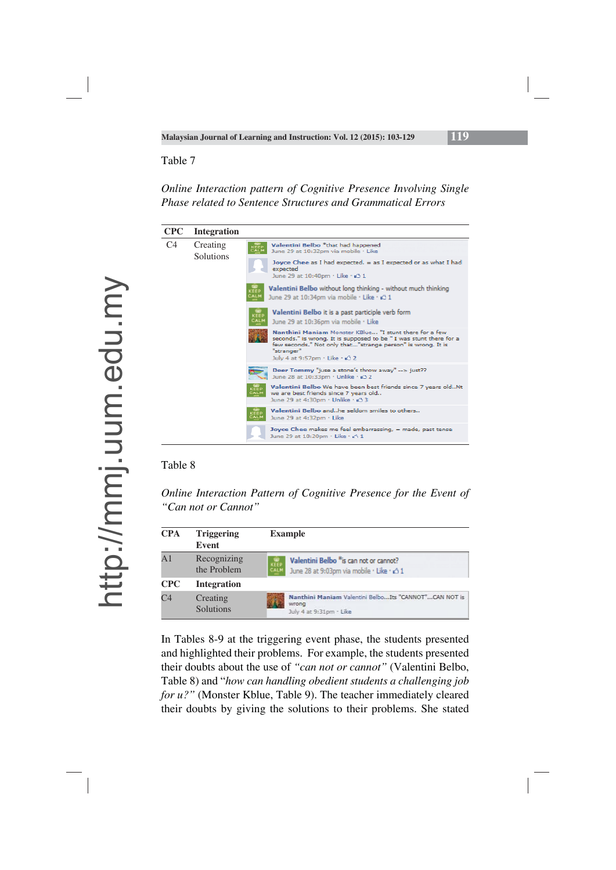## *Online Interaction pattern of Cognitive Presence Involving Single Phase related to Sentence Structures and Grammatical Errors*

| <b>CPC</b>     | <b>Integration</b>    |                                                                                                                                                                                                                              |
|----------------|-----------------------|------------------------------------------------------------------------------------------------------------------------------------------------------------------------------------------------------------------------------|
| C <sub>4</sub> | Creating<br>Solutions | Valentini Belbo *that had happened<br>KEEP<br>June 29 at 10:32pm via mobile · Like                                                                                                                                           |
|                |                       | Joyce Chee as I had expected. $=$ as I expected or as what I had<br>expected<br>June 29 at 10:40pm · Like · Ø 1                                                                                                              |
|                |                       | Valentini Belbo without long thinking - without much thinking<br>CEEI<br>EALM<br>June 29 at 10:34pm via mobile · Like · 43 1                                                                                                 |
|                |                       | Valentini Belbo it is a past participle verb form<br>KEEP<br>CALM<br>June 29 at 10:36pm via mobile · Like                                                                                                                    |
|                | "stranger"            | Nanthini Maniam Monster KBlue "I stunt there for a few<br>seconds." is wrong. It is supposed to be " I was stunt there for a<br>few seconds." Not only that"strange person" is wrong. It is<br>July 4 at 9:57pm · Like · 2 2 |
|                |                       | Deer Tommy "juse a stone's throw away" --> just??<br>June 28 at 10:33pm · Unlike · 45 2                                                                                                                                      |
|                |                       | Valentini Belbo We have been best friends since 7 years oldNt<br>we are best friends since 7 years old<br>June 29 at 4:30pm · Unlike · 43 3                                                                                  |
|                |                       | Valentini Belbo andhe seldom smiles to others<br>KEEP<br>CALM<br>June 29 at 4:32pm · Like                                                                                                                                    |
|                |                       | Joyce Chee makes me feel embarrassing, = made, past tense<br>June 29 at 10:20pm · Like · 24 1                                                                                                                                |

#### Table 8

*Online Interaction Pattern of Cognitive Presence for the Event of "Can not or Cannot"* 

| <b>CPA</b>     | <b>Triggering</b><br>Event   | <b>Example</b>                                                                                             |
|----------------|------------------------------|------------------------------------------------------------------------------------------------------------|
| A <sub>1</sub> | Recognizing<br>the Problem   | Valentini Belbo *is can not or cannot?<br><b>KEEP</b><br>CALM<br>June 28 at 9:03pm via mobile · Like · c 1 |
| <b>CPC</b>     | <b>Integration</b>           |                                                                                                            |
| C <sub>4</sub> | Creating<br><b>Solutions</b> | Nanthini Maniam Valentini BelboIts "CANNOT"CAN NOT is<br>wrong<br>July 4 at 9:31pm - Like                  |

In Tables 8-9 at the triggering event phase, the students presented and highlighted their problems. For example, the students presented their doubts about the use of *"can not or cannot"* (Valentini Belbo, Table 8) and "*how can handling obedient students a challenging job for u?"* (Monster Kblue, Table 9). The teacher immediately cleared their doubts by giving the solutions to their problems. She stated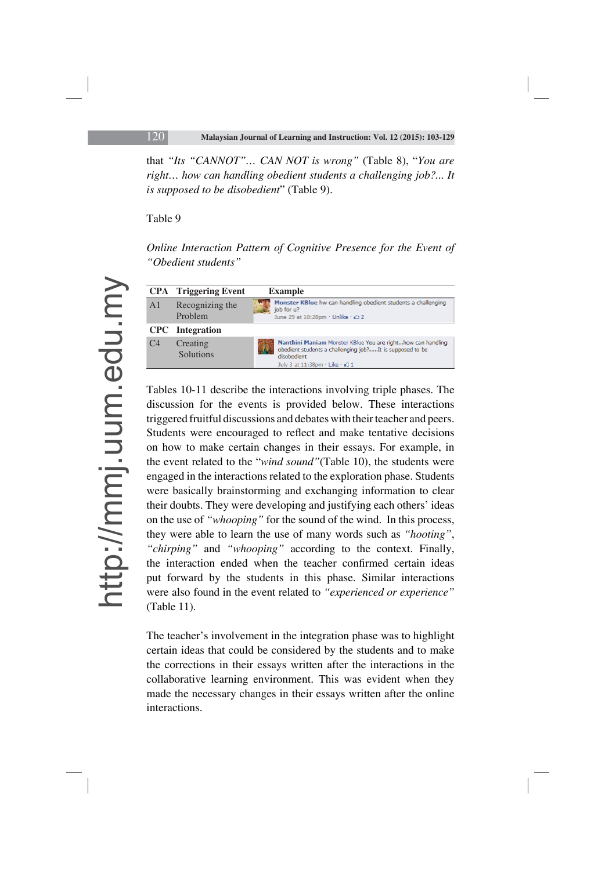that *"Its "CANNOT"… CAN NOT is wrong"* (Table 8), "*You are right… how can handling obedient students a challenging job?... It is supposed to be disobedient*" (Table 9).

Table 9

### *Online Interaction Pattern of Cognitive Presence for the Event of "Obedient students"*



Tables 10-11 describe the interactions involving triple phases. The discussion for the events is provided below. These interactions triggered fruitful discussions and debates with their teacher and peers. Students were encouraged to reflect and make tentative decisions on how to make certain changes in their essays. For example, in the event related to the "*wind sound"*(Table 10), the students were engaged in the interactions related to the exploration phase. Students were basically brainstorming and exchanging information to clear their doubts. They were developing and justifying each others' ideas on the use of *"whooping"* for the sound of the wind. In this process, they were able to learn the use of many words such as *"hooting"*, *"chirping"* and *"whooping"* according to the context. Finally, the interaction ended when the teacher confirmed certain ideas put forward by the students in this phase. Similar interactions were also found in the event related to *"experienced or experience"*  (Table 11).

The teacher's involvement in the integration phase was to highlight certain ideas that could be considered by the students and to make the corrections in their essays written after the interactions in the collaborative learning environment. This was evident when they made the necessary changes in their essays written after the online interactions.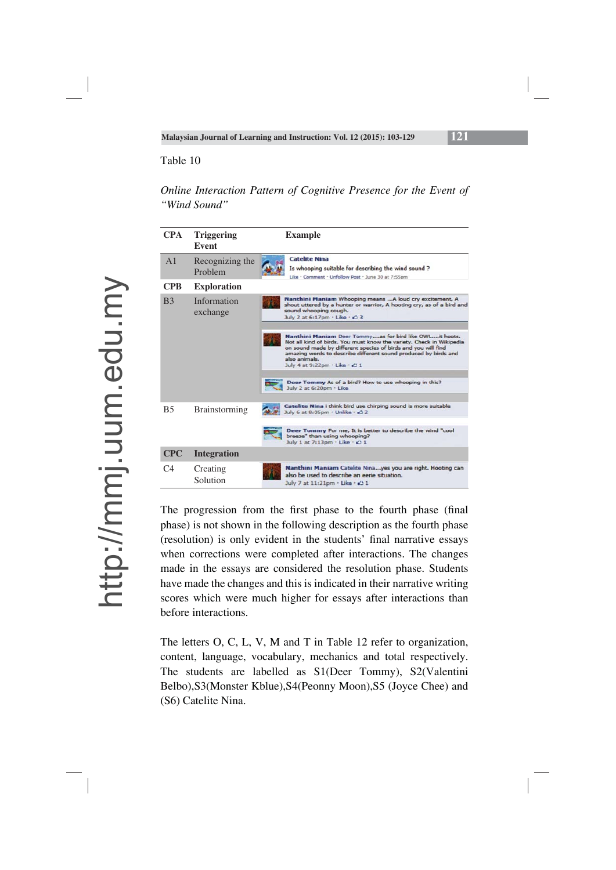### *Online Interaction Pattern of Cognitive Presence for the Event of "Wind Sound"*

| <b>CPA</b>     | <b>Triggering</b><br>Event | <b>Example</b>                                                                                                                                                                                                                                                                                                        |
|----------------|----------------------------|-----------------------------------------------------------------------------------------------------------------------------------------------------------------------------------------------------------------------------------------------------------------------------------------------------------------------|
| A <sub>1</sub> | Recognizing the<br>Problem | <b>Catelite Nina</b><br>Is whooping suitable for describing the wind sound?<br>Like . Comment . Unfollow Post . June 30 at 7:55pm                                                                                                                                                                                     |
| <b>CPB</b>     | <b>Exploration</b>         |                                                                                                                                                                                                                                                                                                                       |
| B <sub>3</sub> | Information<br>exchange    | Nanthini Maniam Whooping means  A loud cry excitement. A<br>shout uttered by a hunter or warrior, A hooting cry, as of a bird and<br>sound whooping cough.<br>July 2 at 6:17pm · Like · 2 3                                                                                                                           |
|                |                            | Nanthini Maniam Deer Tommyas for bird like OWLit hoots.<br>Not all kind of birds. You must know the variety. Check in Wikipedia<br>on sound made by different species of birds and you will find<br>amazing words to describe different sound produced by birds and<br>also animals.<br>July 4 at 9:22pm · Like · 2 1 |
|                |                            | Deer Tommy As of a bird? How to use whooping in this?<br>July 2 at 6:20pm - Like                                                                                                                                                                                                                                      |
| <b>B5</b>      | <b>Brainstorming</b>       | Catelite Nina i think bird use chirping sound is more suitable<br>July 6 at 8:05pm · Unlike · 2 2                                                                                                                                                                                                                     |
|                |                            | Deer Tommy For me, It is better to describe the wind "cool<br>breeze" than using whooping?<br>July 1 at 7:13pm . Like . (2) 1                                                                                                                                                                                         |
| <b>CPC</b>     | <b>Integration</b>         |                                                                                                                                                                                                                                                                                                                       |
| C <sub>4</sub> | Creating<br>Solution       | Nanthini Maniam Catelite Ninayes you are right. Hooting can<br>also be used to describe an eerie situation.<br>July 7 at 11:21pm · Like · 43 1                                                                                                                                                                        |

The progression from the first phase to the fourth phase (final phase) is not shown in the following description as the fourth phase (resolution) is only evident in the students' final narrative essays when corrections were completed after interactions. The changes made in the essays are considered the resolution phase. Students have made the changes and this is indicated in their narrative writing scores which were much higher for essays after interactions than before interactions.

The letters O, C, L, V, M and T in Table 12 refer to organization, content, language, vocabulary, mechanics and total respectively. The students are labelled as S1(Deer Tommy), S2(Valentini Belbo),S3(Monster Kblue),S4(Peonny Moon),S5 (Joyce Chee) and (S6) Catelite Nina.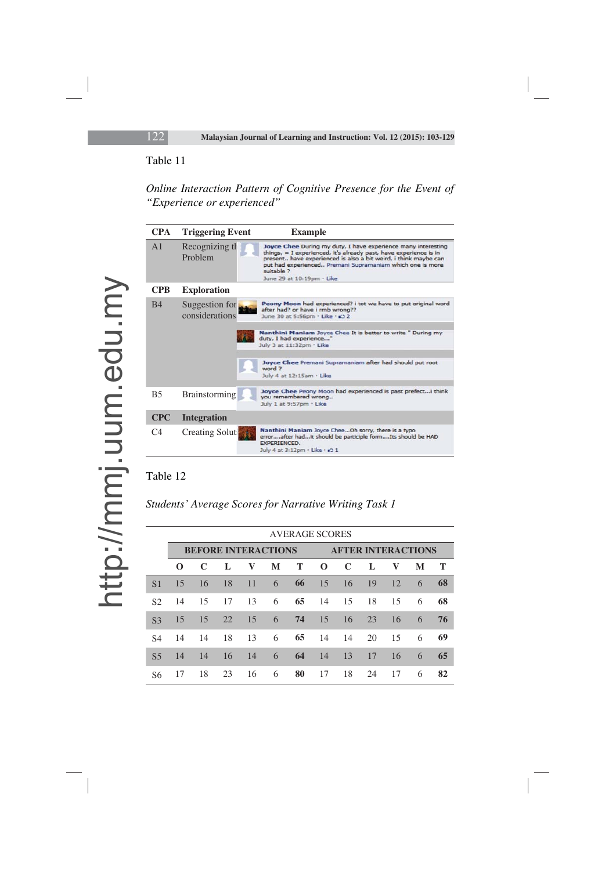## *Online Interaction Pattern of Cognitive Presence for the Event of "Experience or experienced"*

| <b>CPA</b>     | <b>Triggering Event</b>          | <b>Example</b>                                                                                                                                                                                                                                                                                                |
|----------------|----------------------------------|---------------------------------------------------------------------------------------------------------------------------------------------------------------------------------------------------------------------------------------------------------------------------------------------------------------|
| A <sub>1</sub> | Recognizing the<br>Problem       | Joyce Chee During my duty, I have experience many interesting<br>things, = I experienced, it's already past, have experience is in<br>present have experienced is also a bit weird, i think maybe can<br>put had experienced Premani Supramaniam which one is more<br>suitable ?<br>June 29 at 10:19pm · Like |
| <b>CPB</b>     | <b>Exploration</b>               |                                                                                                                                                                                                                                                                                                               |
| <b>B4</b>      | Suggestion for<br>considerations | Peony Moon had experienced? i tot we have to put original word<br>after had? or have i rmb wrong??<br>June 30 at 5:56pm · Like · 2 2                                                                                                                                                                          |
|                |                                  | Nanthini Maniam Joyce Chee It is better to write " During my<br>duty, I had experience"<br>July 3 at 11:32pm - Like                                                                                                                                                                                           |
|                |                                  | Joyce Chee Premani Supramaniam after had should put root<br>word ?<br>July 4 at 12:15am · Like                                                                                                                                                                                                                |
| <b>B5</b>      | <b>Brainstorming</b>             | Joyce Chee Peony Moon had experienced is past prefecti think<br>you remembered wrong<br>July 1 at 9:57pm · Like                                                                                                                                                                                               |
| <b>CPC</b>     | <b>Integration</b>               |                                                                                                                                                                                                                                                                                                               |
| $\Gamma$ 4     | <b>Creating Solut</b>            | Nanthini Maniam Joyce CheeOh sorry, there is a typo<br>errorafter hadit should be participle formIts should be HAD<br><b>EXPERIENCED.</b><br>July 4 at 3:12pm · Like · 2 1                                                                                                                                    |

### Table 12

*Students' Average Scores for Narrative Writing Task 1* 

|                | <b>AVERAGE SCORES</b> |     |                            |    |   |                           |             |             |    |              |   |    |
|----------------|-----------------------|-----|----------------------------|----|---|---------------------------|-------------|-------------|----|--------------|---|----|
|                |                       |     | <b>BEFORE INTERACTIONS</b> |    |   | <b>AFTER INTERACTIONS</b> |             |             |    |              |   |    |
|                | $\Omega$              | C   | L                          | V  | M | Т                         | $\mathbf 0$ | $\mathbf C$ | L  | $\mathbf{V}$ | M | Т  |
| S <sub>1</sub> | 15                    | 16  | 18                         | 11 | 6 | 66                        | 15          | 16          | 19 | 12           | 6 | 68 |
| S <sub>2</sub> | 14                    | 15  | 17                         | 13 | 6 | 65                        | 14          | 15          | 18 | 15           | 6 | 68 |
| S <sub>3</sub> | 15                    | 15  | 22                         | 15 | 6 | 74                        | 15          | 16          | 23 | 16           | 6 | 76 |
| S4             | 14                    | -14 | 18                         | 13 | 6 | 65                        | 14          | -14         | 20 | 15           | 6 | 69 |
| S <sub>5</sub> | 14                    | 14  | 16                         | 14 | 6 | 64                        | 14          | 13          | 17 | 16           | 6 | 65 |
| S6             | 17                    | 18  | 23                         | 16 | 6 | 80                        | 17          | 18          | 24 | 17           | 6 | 82 |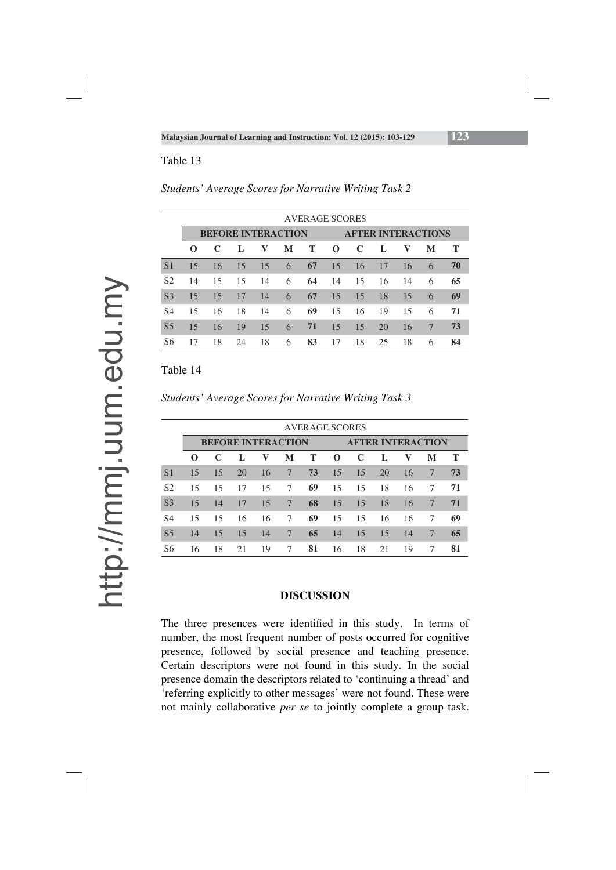|                | <b>AVERAGE SCORES</b> |    |    |                           |   |                           |          |    |    |    |   |    |
|----------------|-----------------------|----|----|---------------------------|---|---------------------------|----------|----|----|----|---|----|
|                |                       |    |    | <b>BEFORE INTERACTION</b> |   | <b>AFTER INTERACTIONS</b> |          |    |    |    |   |    |
|                | $\Omega$              | C  | L  | V                         | M | T                         | $\Omega$ | C  | L  | V  | M | Т  |
| S <sub>1</sub> | 15                    | 16 | 15 | 15                        | 6 | 67                        | 15       | 16 | 17 | 16 | 6 | 70 |
| S <sub>2</sub> | 14                    | 15 | 15 | 14                        | 6 | 64                        | 14       | 15 | 16 | 14 | 6 | 65 |
| S <sub>3</sub> | 15                    | 15 | 17 | 14                        | 6 | 67                        | 15       | 15 | 18 | 15 | 6 | 69 |
| S4             | 15                    | 16 | 18 | 14                        | 6 | 69                        | 15       | 16 | 19 | 15 | 6 | 71 |
| S <sub>5</sub> | 15                    | 16 | 19 | 15                        | 6 | 71                        | 15       | 15 | 20 | 16 | 7 | 73 |
| S6             | 17                    | 18 | 24 | 18                        | 6 | 83                        | 17       | 18 | 25 | 18 | 6 | 84 |

*Students' Average Scores for Narrative Writing Task 2* 

Table 14

*Students' Average Scores for Narrative Writing Task 3* 

|                | <b>AVERAGE SCORES</b> |    |                           |    |   |                          |          |    |    |    |   |    |
|----------------|-----------------------|----|---------------------------|----|---|--------------------------|----------|----|----|----|---|----|
|                |                       |    | <b>BEFORE INTERACTION</b> |    |   | <b>AFTER INTERACTION</b> |          |    |    |    |   |    |
|                | $\Omega$              | C  | Т.                        | V  | M | Т                        | $\Omega$ | C  | L  | v  | M | т  |
| S <sub>1</sub> | 15                    | 15 | 20                        | 16 | 7 | 73                       | 15       | 15 | 20 | 16 | 7 | 73 |
| S <sub>2</sub> | 15                    | 15 | 17                        | 15 | 7 | 69                       | 15       | 15 | 18 | 16 | 7 | 71 |
| S <sub>3</sub> | 15                    | 14 | 17                        | 15 | 7 | 68                       | 15       | 15 | 18 | 16 | 7 | 71 |
| S4             | 15                    | 15 | 16                        | 16 | 7 | 69                       | 15       | 15 | 16 | 16 | 7 | 69 |
| S <sub>5</sub> | 14                    | 15 | 15                        | 14 | 7 | 65                       | 14       | 15 | 15 | 14 | 7 | 65 |
| S6             | 16                    | 18 | 21                        | 19 | 7 | 81                       | 16       | 18 | 21 | 19 | 7 | 81 |

#### **DISCUSSION**

The three presences were identified in this study. In terms of number, the most frequent number of posts occurred for cognitive presence, followed by social presence and teaching presence. Certain descriptors were not found in this study. In the social presence domain the descriptors related to 'continuing a thread' and 'referring explicitly to other messages' were not found. These were not mainly collaborative *per se* to jointly complete a group task.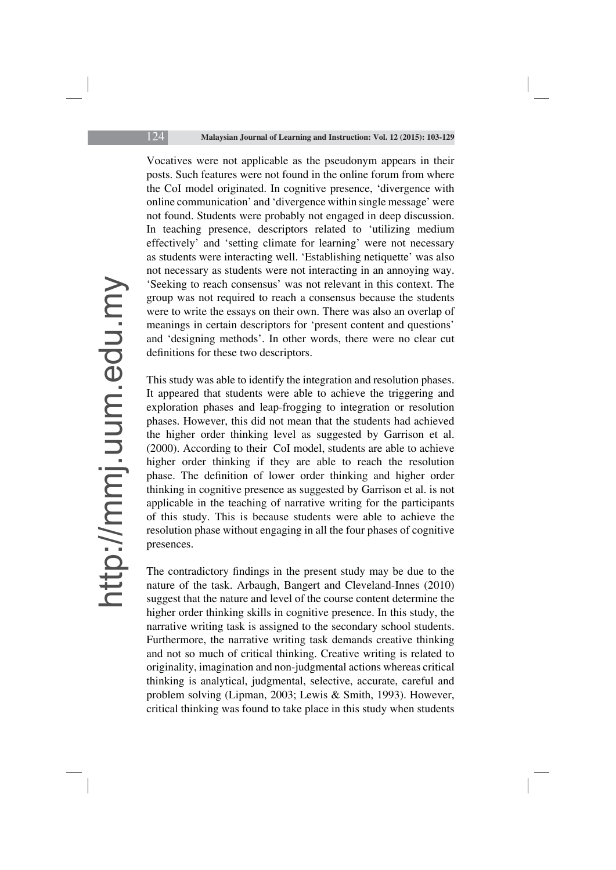Vocatives were not applicable as the pseudonym appears in their posts. Such features were not found in the online forum from where the CoI model originated. In cognitive presence, 'divergence with online communication' and 'divergence within single message' were not found. Students were probably not engaged in deep discussion. In teaching presence, descriptors related to 'utilizing medium effectively' and 'setting climate for learning' were not necessary as students were interacting well. 'Establishing netiquette' was also not necessary as students were not interacting in an annoying way. 'Seeking to reach consensus' was not relevant in this context. The group was not required to reach a consensus because the students were to write the essays on their own. There was also an overlap of meanings in certain descriptors for 'present content and questions' and 'designing methods'. In other words, there were no clear cut definitions for these two descriptors.

This study was able to identify the integration and resolution phases. It appeared that students were able to achieve the triggering and exploration phases and leap-frogging to integration or resolution phases. However, this did not mean that the students had achieved the higher order thinking level as suggested by Garrison et al. (2000). According to their CoI model, students are able to achieve higher order thinking if they are able to reach the resolution phase. The definition of lower order thinking and higher order thinking in cognitive presence as suggested by Garrison et al. is not applicable in the teaching of narrative writing for the participants of this study. This is because students were able to achieve the resolution phase without engaging in all the four phases of cognitive presences.

The contradictory findings in the present study may be due to the nature of the task. Arbaugh, Bangert and Cleveland-Innes (2010) suggest that the nature and level of the course content determine the higher order thinking skills in cognitive presence. In this study, the narrative writing task is assigned to the secondary school students. Furthermore, the narrative writing task demands creative thinking and not so much of critical thinking. Creative writing is related to originality, imagination and non-judgmental actions whereas critical thinking is analytical, judgmental, selective, accurate, careful and problem solving (Lipman, 2003; Lewis & Smith, 1993). However, critical thinking was found to take place in this study when students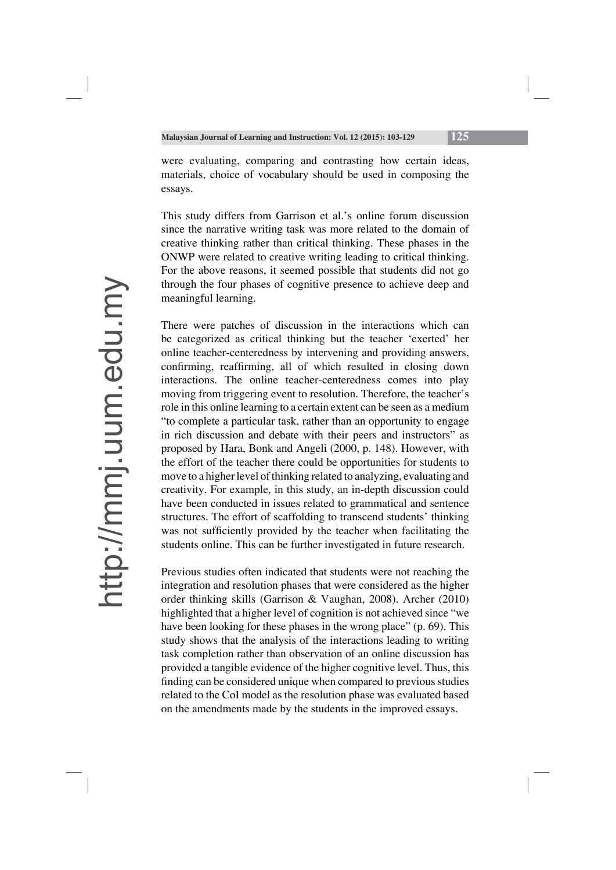were evaluating, comparing and contrasting how certain ideas, materials, choice of vocabulary should be used in composing the essays.

This study differs from Garrison et al.'s online forum discussion since the narrative writing task was more related to the domain of creative thinking rather than critical thinking. These phases in the ONWP were related to creative writing leading to critical thinking. For the above reasons, it seemed possible that students did not go through the four phases of cognitive presence to achieve deep and meaningful learning.

There were patches of discussion in the interactions which can be categorized as critical thinking but the teacher 'exerted' her online teacher-centeredness by intervening and providing answers, confirming, reaffirming, all of which resulted in closing down interactions. The online teacher-centeredness comes into play moving from triggering event to resolution. Therefore, the teacher's role in this online learning to a certain extent can be seen as a medium "to complete a particular task, rather than an opportunity to engage in rich discussion and debate with their peers and instructors" as proposed by Hara, Bonk and Angeli (2000, p. 148). However, with the effort of the teacher there could be opportunities for students to move to a higher level of thinking related to analyzing, evaluating and creativity. For example, in this study, an in-depth discussion could have been conducted in issues related to grammatical and sentence structures. The effort of scaffolding to transcend students' thinking was not sufficiently provided by the teacher when facilitating the students online. This can be further investigated in future research.

Previous studies often indicated that students were not reaching the integration and resolution phases that were considered as the higher order thinking skills (Garrison & Vaughan, 2008). Archer (2010) highlighted that a higher level of cognition is not achieved since "we have been looking for these phases in the wrong place" (p. 69). This study shows that the analysis of the interactions leading to writing task completion rather than observation of an online discussion has provided a tangible evidence of the higher cognitive level. Thus, this finding can be considered unique when compared to previous studies related to the CoI model as the resolution phase was evaluated based on the amendments made by the students in the improved essays.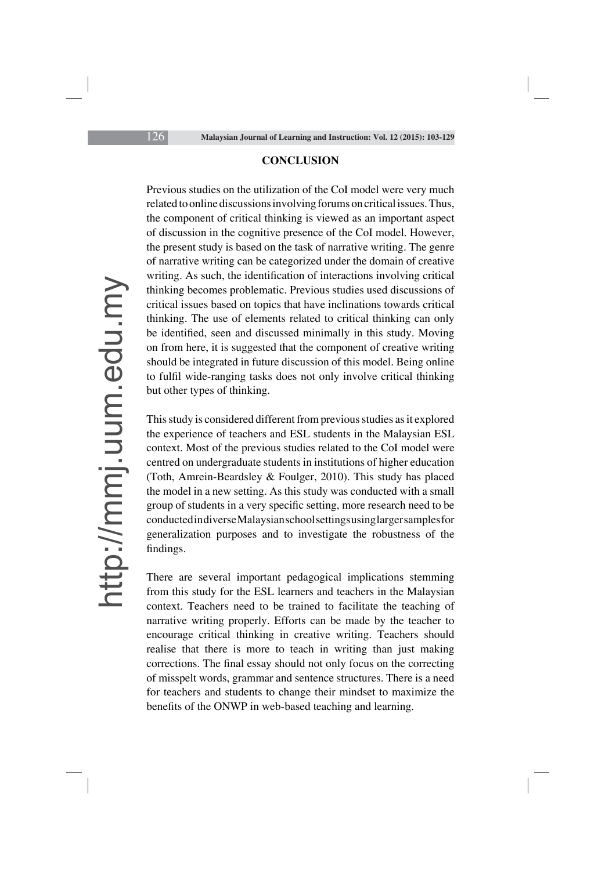#### **CONCLUSION**

Previous studies on the utilization of the CoI model were very much related to online discussions involving forums on critical issues. Thus, the component of critical thinking is viewed as an important aspect of discussion in the cognitive presence of the CoI model. However, the present study is based on the task of narrative writing. The genre of narrative writing can be categorized under the domain of creative writing. As such, the identification of interactions involving critical thinking becomes problematic. Previous studies used discussions of critical issues based on topics that have inclinations towards critical thinking. The use of elements related to critical thinking can only be identified, seen and discussed minimally in this study. Moving on from here, it is suggested that the component of creative writing should be integrated in future discussion of this model. Being online to fulfil wide-ranging tasks does not only involve critical thinking but other types of thinking.

This study is considered different from previous studies as it explored the experience of teachers and ESL students in the Malaysian ESL context. Most of the previous studies related to the CoI model were centred on undergraduate students in institutions of higher education (Toth, Amrein-Beardsley & Foulger, 2010). This study has placed the model in a new setting. As this study was conducted with a small group of students in a very specific setting, more research need to be conducted in diverse Malaysian school settings using larger samples for generalization purposes and to investigate the robustness of the findings.

There are several important pedagogical implications stemming from this study for the ESL learners and teachers in the Malaysian context. Teachers need to be trained to facilitate the teaching of narrative writing properly. Efforts can be made by the teacher to encourage critical thinking in creative writing. Teachers should realise that there is more to teach in writing than just making corrections. The final essay should not only focus on the correcting of misspelt words, grammar and sentence structures. There is a need for teachers and students to change their mindset to maximize the benefits of the ONWP in web-based teaching and learning.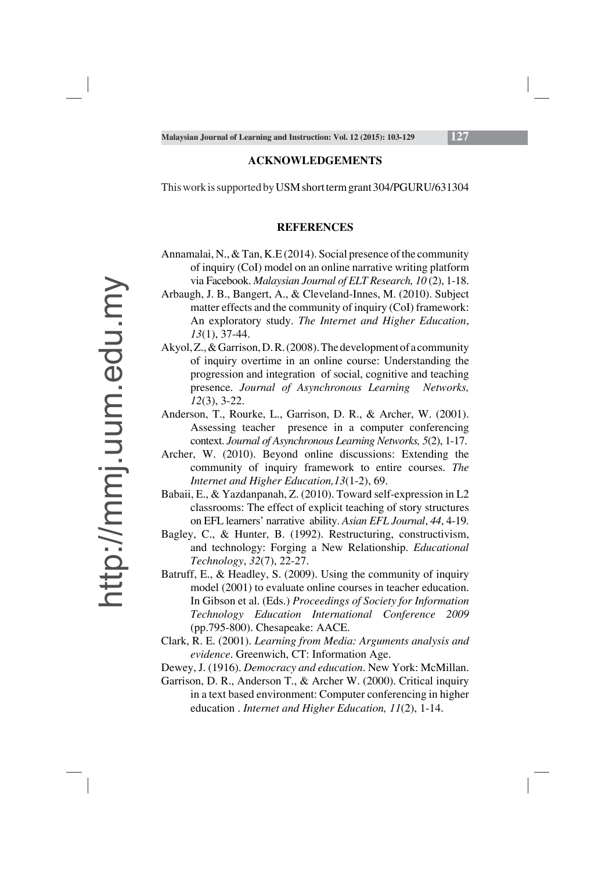#### **ACKNOWLEDGEMENTS**

This work is supported by USM short term grant 304/PGURU/631304

#### **REFERENCES**

- Annamalai, N., & Tan, K.E (2014). Social presence of the community of inquiry (CoI) model on an online narrative writing platform via Facebook. *Malaysian Journal of ELT Research, 10* (2), 1-18.
- Arbaugh, J. B., Bangert, A., & Cleveland-Innes, M. (2010). Subject matter effects and the community of inquiry (CoI) framework: An exploratory study. *The Internet and Higher Education*, *13*(1), 37-44.
- Akyol, Z., & Garrison, D. R. (2008). The development of a community of inquiry overtime in an online course: Understanding the progression and integration of social, cognitive and teaching presence. *Journal of Asynchronous Learning Networks, 12*(3), 3-22.
- Anderson, T., Rourke, L., Garrison, D. R., & Archer, W. (2001). Assessing teacher presence in a computer conferencing context. *Journal of Asynchronous Learning Networks, 5*(2), 1-17.
- Archer, W. (2010). Beyond online discussions: Extending the community of inquiry framework to entire courses. *The Internet and Higher Education,13*(1-2), 69.
- Babaii, E., & Yazdanpanah, Z. (2010). Toward self-expression in L2 classrooms: The effect of explicit teaching of story structures on EFL learners' narrative ability. *Asian EFL Journal*, *44*, 4-19.
- Bagley, C., & Hunter, B. (1992). Restructuring, constructivism, and technology: Forging a New Relationship. *Educational Technology*, *32*(7), 22-27.
- Batruff, E., & Headley, S. (2009). Using the community of inquiry model (2001) to evaluate online courses in teacher education. In Gibson et al. (Eds.) *Proceedings of Society for Information Technology Education International Conference 2009* (pp.795-800). Chesapeake: AACE.
- Clark, R. E. (2001). *Learning from Media: Arguments analysis and evidence*. Greenwich, CT: Information Age.

Dewey, J. (1916). *Democracy and education*. New York: McMillan.

Garrison, D. R., Anderson T., & Archer W. (2000). Critical inquiry in a text based environment: Computer conferencing in higher education . *Internet and Higher Education, 11*(2), 1-14.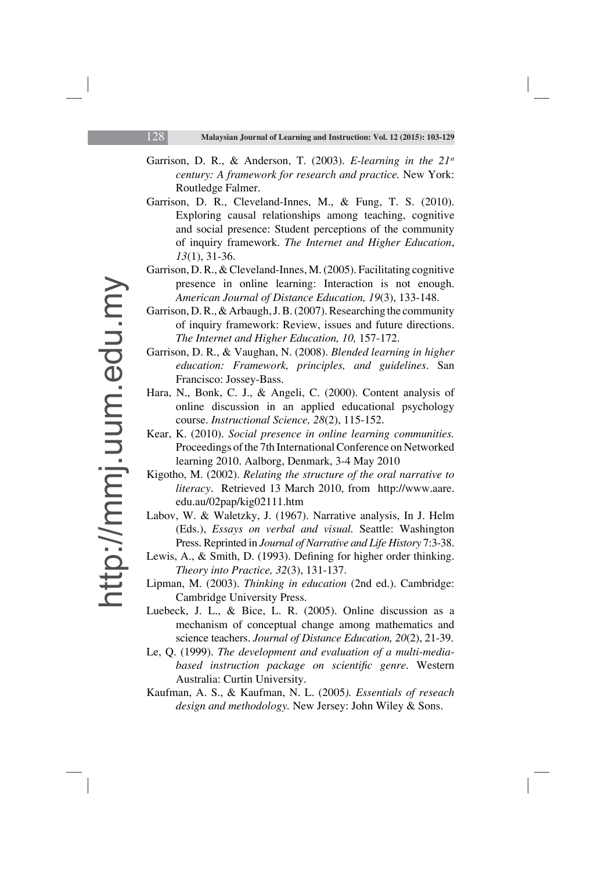- Garrison, D. R., & Anderson, T. (2003). *E-learning in the 21st century: A framework for research and practice.* New York: Routledge Falmer.
- Garrison, D. R., Cleveland-Innes, M., & Fung, T. S. (2010). Exploring causal relationships among teaching, cognitive and social presence: Student perceptions of the community of inquiry framework. *The Internet and Higher Education*, *13*(1), 31-36.
- Garrison, D. R., & Cleveland-Innes, M. (2005). Facilitating cognitive presence in online learning: Interaction is not enough. *American Journal of Distance Education, 19*(3), 133-148.
- Garrison, D. R., & Arbaugh, J. B. (2007). Researching the community of inquiry framework: Review, issues and future directions. *The Internet and Higher Education, 10,* 157-172.
- Garrison, D. R., & Vaughan, N. (2008). *Blended learning in higher education: Framework, principles, and guidelines*. San Francisco: Jossey-Bass.
- Hara, N., Bonk, C. J., & Angeli, C. (2000). Content analysis of online discussion in an applied educational psychology course. *Instructional Science, 28*(2), 115-152.
- Kear, K. (2010). *Social presence in online learning communities.*  Proceedings of the 7th International Conference on Networked learning 2010. Aalborg, Denmark, 3-4 May 2010
- Kigotho, M. (2002). *Relating the structure of the oral narrative to literacy*. Retrieved 13 March 2010, from http://www.aare. edu.au/02pap/kig02111.htm
- Labov, W. & Waletzky, J. (1967). Narrative analysis, In J. Helm (Eds.), *Essays on verbal and visual.* Seattle: Washington Press. Reprinted in *Journal of Narrative and Life History* 7:3-38.
- Lewis, A., & Smith, D. (1993). Defining for higher order thinking. *Theory into Practice, 32*(3), 131-137.
- Lipman, M. (2003). *Thinking in education* (2nd ed.). Cambridge: Cambridge University Press.
- Luebeck, J. L., & Bice, L. R. (2005). Online discussion as a mechanism of conceptual change among mathematics and science teachers. *Journal of Distance Education, 20*(2), 21-39.
- Le, Q. (1999). *The development and evaluation of a multi-media*based instruction package on scientific genre. Western Australia: Curtin University.
- Kaufman, A. S., & Kaufman, N. L. (2005*). Essentials of reseach design and methodology.* New Jersey: John Wiley & Sons.